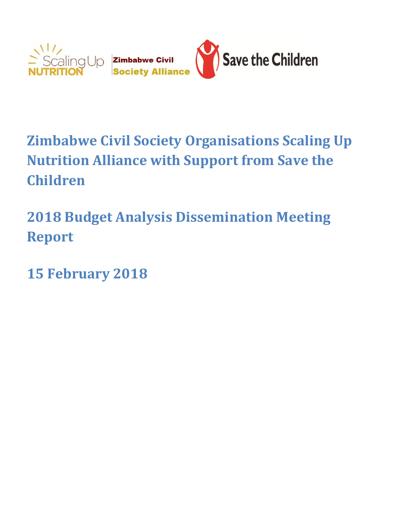

# **Zimbabwe Civil Society Organisations Scaling Up Nutrition Alliance with Support from Save the Children**

**2018 Budget Analysis Dissemination Meeting Report** 

**15 February 2018**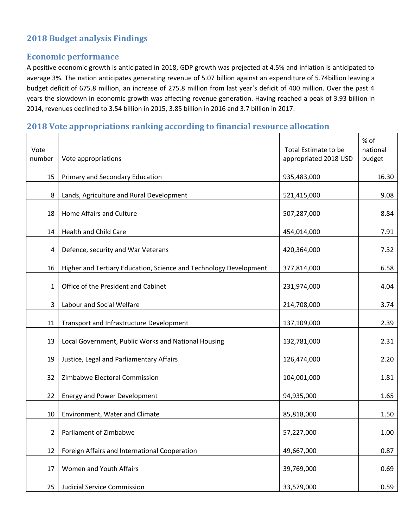# **2018 Budget analysis Findings**

## **Economic performance**

A positive economic growth is anticipated in 2018, GDP growth was projected at 4.5% and inflation is anticipated to average 3%. The nation anticipates generating revenue of 5.07 billion against an expenditure of 5.74billion leaving a budget deficit of 675.8 million, an increase of 275.8 million from last year's deficit of 400 million. Over the past 4 years the slowdown in economic growth was affecting revenue generation. Having reached a peak of 3.93 billion in 2014, revenues declined to 3.54 billion in 2015, 3.85 billion in 2016 and 3.7 billion in 2017.

## **2018 Vote appropriations ranking according to financial resource allocation**

|                |                                                                   |                       | % of     |
|----------------|-------------------------------------------------------------------|-----------------------|----------|
| Vote           |                                                                   | Total Estimate to be  | national |
| number         | Vote appropriations                                               | appropriated 2018 USD | budget   |
|                |                                                                   |                       |          |
| 15             | Primary and Secondary Education                                   | 935,483,000           | 16.30    |
| 8              | Lands, Agriculture and Rural Development                          | 521,415,000           | 9.08     |
|                |                                                                   |                       |          |
| 18             | Home Affairs and Culture                                          | 507,287,000           | 8.84     |
|                |                                                                   |                       |          |
| 14             | <b>Health and Child Care</b>                                      | 454,014,000           | 7.91     |
| 4              | Defence, security and War Veterans                                | 420,364,000           | 7.32     |
|                |                                                                   |                       |          |
| 16             | Higher and Tertiary Education, Science and Technology Development | 377,814,000           | 6.58     |
|                |                                                                   |                       |          |
| 1              | Office of the President and Cabinet                               | 231,974,000           | 4.04     |
| 3              | Labour and Social Welfare                                         | 214,708,000           | 3.74     |
|                |                                                                   |                       |          |
| 11             | Transport and Infrastructure Development                          | 137,109,000           | 2.39     |
|                |                                                                   |                       |          |
| 13             | Local Government, Public Works and National Housing               | 132,781,000           | 2.31     |
| 19             | Justice, Legal and Parliamentary Affairs                          | 126,474,000           | 2.20     |
|                |                                                                   |                       |          |
| 32             | Zimbabwe Electoral Commission                                     | 104,001,000           | 1.81     |
|                | <b>Energy and Power Development</b>                               |                       |          |
| 22             |                                                                   | 94,935,000            | 1.65     |
| 10             | Environment, Water and Climate                                    | 85,818,000            | 1.50     |
|                |                                                                   |                       |          |
| $\overline{2}$ | Parliament of Zimbabwe                                            | 57,227,000            | 1.00     |
| 12             | Foreign Affairs and International Cooperation                     | 49,667,000            | 0.87     |
|                |                                                                   |                       |          |
| 17             | Women and Youth Affairs                                           | 39,769,000            | 0.69     |
|                |                                                                   |                       |          |
| 25             | <b>Judicial Service Commission</b>                                | 33,579,000            | 0.59     |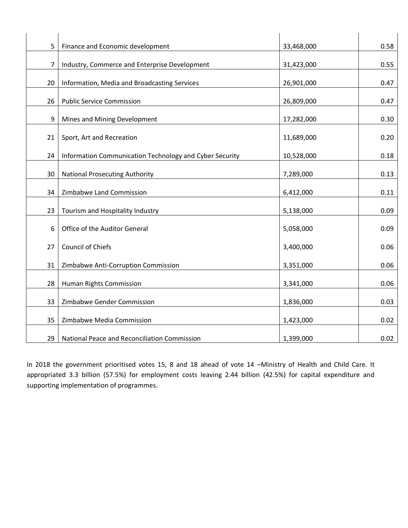| 5  | Finance and Economic development                        | 33,468,000 | 0.58 |
|----|---------------------------------------------------------|------------|------|
| 7  | Industry, Commerce and Enterprise Development           | 31,423,000 | 0.55 |
| 20 | Information, Media and Broadcasting Services            | 26,901,000 | 0.47 |
| 26 | <b>Public Service Commission</b>                        | 26,809,000 | 0.47 |
| 9  | Mines and Mining Development                            | 17,282,000 | 0.30 |
| 21 | Sport, Art and Recreation                               | 11,689,000 | 0.20 |
| 24 | Information Communication Technology and Cyber Security | 10,528,000 | 0.18 |
| 30 | <b>National Prosecuting Authority</b>                   | 7,289,000  | 0.13 |
| 34 | Zimbabwe Land Commission                                | 6,412,000  | 0.11 |
| 23 | Tourism and Hospitality Industry                        | 5,138,000  | 0.09 |
| 6  | Office of the Auditor General                           | 5,058,000  | 0.09 |
| 27 | Council of Chiefs                                       | 3,400,000  | 0.06 |
| 31 | Zimbabwe Anti-Corruption Commission                     | 3,351,000  | 0.06 |
| 28 | Human Rights Commission                                 | 3,341,000  | 0.06 |
| 33 | Zimbabwe Gender Commission                              | 1,836,000  | 0.03 |
| 35 | Zimbabwe Media Commission                               | 1,423,000  | 0.02 |
| 29 | National Peace and Reconciliation Commission            | 1,399,000  | 0.02 |

In 2018 the government prioritised votes 15, 8 and 18 ahead of vote 14 –Ministry of Health and Child Care. It appropriated 3.3 billion (57.5%) for employment costs leaving 2.44 billion (42.5%) for capital expenditure and supporting implementation of programmes.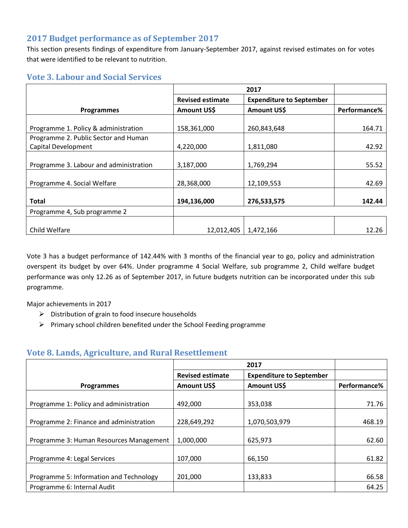# **2017 Budget performance as of September 2017**

This section presents findings of expenditure from January-September 2017, against revised estimates on for votes that were identified to be relevant to nutrition.

## **Vote 3. Labour and Social Services**

|                                        | 2017                    |                                 |              |
|----------------------------------------|-------------------------|---------------------------------|--------------|
|                                        | <b>Revised estimate</b> | <b>Expenditure to September</b> |              |
| <b>Programmes</b>                      | Amount US\$             | <b>Amount USS</b>               | Performance% |
|                                        |                         |                                 |              |
| Programme 1. Policy & administration   | 158,361,000             | 260,843,648                     | 164.71       |
| Programme 2. Public Sector and Human   |                         |                                 |              |
| Capital Development                    | 4,220,000               | 1,811,080                       | 42.92        |
|                                        |                         |                                 |              |
| Programme 3. Labour and administration | 3,187,000               | 1,769,294                       | 55.52        |
|                                        |                         |                                 |              |
| Programme 4. Social Welfare            | 28,368,000              | 12,109,553                      | 42.69        |
|                                        |                         |                                 |              |
| <b>Total</b>                           | 194,136,000             | 276,533,575                     | 142.44       |
| Programme 4, Sub programme 2           |                         |                                 |              |
|                                        |                         |                                 |              |
| Child Welfare                          | 12,012,405              | 1,472,166                       | 12.26        |

Vote 3 has a budget performance of 142.44% with 3 months of the financial year to go, policy and administration overspent its budget by over 64%. Under programme 4 Social Welfare, sub programme 2, Child welfare budget performance was only 12.26 as of September 2017, in future budgets nutrition can be incorporated under this sub programme.

Major achievements in 2017

- $\triangleright$  Distribution of grain to food insecure households
- $\triangleright$  Primary school children benefited under the School Feeding programme

## **Vote 8. Lands, Agriculture, and Rural Resettlement**

|                                         | 2017                    |                                 |              |
|-----------------------------------------|-------------------------|---------------------------------|--------------|
|                                         | <b>Revised estimate</b> | <b>Expenditure to September</b> |              |
| <b>Programmes</b>                       | Amount US\$             | <b>Amount USS</b>               | Performance% |
|                                         |                         |                                 |              |
| Programme 1: Policy and administration  | 492,000                 | 353,038                         | 71.76        |
|                                         |                         |                                 |              |
| Programme 2: Finance and administration | 228,649,292             | 1,070,503,979                   | 468.19       |
|                                         |                         |                                 |              |
| Programme 3: Human Resources Management | 1,000,000               | 625,973                         | 62.60        |
|                                         |                         |                                 |              |
| Programme 4: Legal Services             | 107,000                 | 66,150                          | 61.82        |
|                                         |                         |                                 |              |
| Programme 5: Information and Technology | 201,000                 | 133,833                         | 66.58        |
| Programme 6: Internal Audit             |                         |                                 | 64.25        |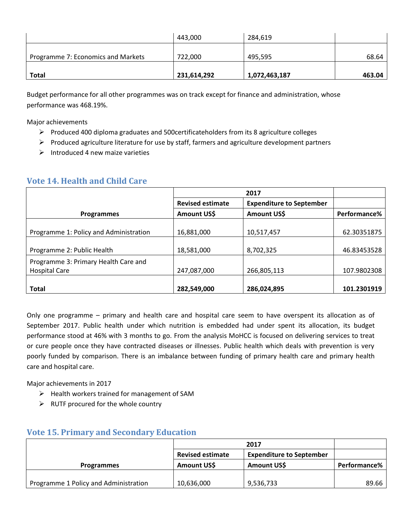|                                    | 443,000     | 284,619       |        |
|------------------------------------|-------------|---------------|--------|
| Programme 7: Economics and Markets | 722.000     | 495,595       | 68.64  |
| <b>Total</b>                       | 231,614,292 | 1,072,463,187 | 463.04 |

Budget performance for all other programmes was on track except for finance and administration, whose performance was 468.19%.

Major achievements

- $\triangleright$  Produced 400 diploma graduates and 500 certificateholders from its 8 agriculture colleges
- $\triangleright$  Produced agriculture literature for use by staff, farmers and agriculture development partners
- $\triangleright$  Introduced 4 new maize varieties

| <b>Vote 14. Health and Child Care</b> |  |  |  |
|---------------------------------------|--|--|--|
|                                       |  |  |  |

|                                        | 2017                    |                                 |              |
|----------------------------------------|-------------------------|---------------------------------|--------------|
|                                        | <b>Revised estimate</b> | <b>Expenditure to September</b> |              |
| <b>Programmes</b>                      | Amount US\$             | Amount US\$                     | Performance% |
|                                        |                         |                                 |              |
| Programme 1: Policy and Administration | 16,881,000              | 10,517,457                      | 62.30351875  |
|                                        |                         |                                 |              |
| Programme 2: Public Health             | 18,581,000              | 8,702,325                       | 46.83453528  |
| Programme 3: Primary Health Care and   |                         |                                 |              |
| <b>Hospital Care</b>                   | 247,087,000             | 266,805,113                     | 107.9802308  |
|                                        |                         |                                 |              |
| <b>Total</b>                           | 282,549,000             | 286,024,895                     | 101.2301919  |

Only one programme – primary and health care and hospital care seem to have overspent its allocation as of September 2017. Public health under which nutrition is embedded had under spent its allocation, its budget performance stood at 46% with 3 months to go. From the analysis MoHCC is focused on delivering services to treat or cure people once they have contracted diseases or illnesses. Public health which deals with prevention is very poorly funded by comparison. There is an imbalance between funding of primary health care and primary health care and hospital care.

Major achievements in 2017

- $\triangleright$  Health workers trained for management of SAM
- $\triangleright$  RUTF procured for the whole country

|                                       | 2017                                                       |             |              |
|---------------------------------------|------------------------------------------------------------|-------------|--------------|
|                                       | <b>Revised estimate</b><br><b>Expenditure to September</b> |             |              |
| <b>Programmes</b>                     | Amount US\$                                                | Amount US\$ | Performance% |
|                                       |                                                            |             |              |
| Programme 1 Policy and Administration | 10,636,000                                                 | 9,536,733   | 89.66        |

#### **Vote 15. Primary and Secondary Education**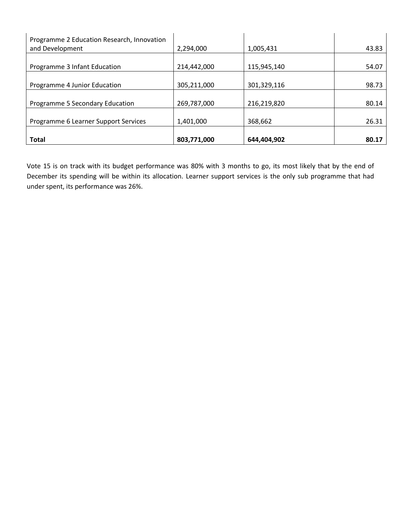| Programme 2 Education Research, Innovation<br>and Development | 2.294.000   | 1,005,431   | 43.83 |
|---------------------------------------------------------------|-------------|-------------|-------|
| Programme 3 Infant Education                                  | 214,442,000 | 115,945,140 | 54.07 |
| Programme 4 Junior Education                                  | 305,211,000 | 301,329,116 | 98.73 |
| Programme 5 Secondary Education                               | 269,787,000 | 216,219,820 | 80.14 |
| Programme 6 Learner Support Services                          | 1,401,000   | 368,662     | 26.31 |
| <b>Total</b>                                                  | 803,771,000 | 644,404,902 | 80.17 |

Vote 15 is on track with its budget performance was 80% with 3 months to go, its most likely that by the end of December its spending will be within its allocation. Learner support services is the only sub programme that had under spent, its performance was 26%.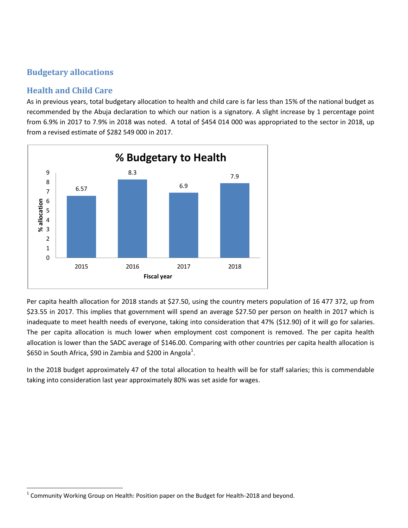# **Budgetary allocations**

# **Health and Child Care**

As in previous years, total budgetary allocation to health and child care is far less than 15% of the national budget as recommended by the Abuja declaration to which our nation is a signatory. A slight increase by 1 percentage point from 6.9% in 2017 to 7.9% in 2018 was noted. A total of \$454 014 000 was appropriated to the sector in 2018, up from a revised estimate of \$282 549 000 in 2017.



Per capita health allocation for 2018 stands at \$27.50, using the country meters population of 16 477 372, up from \$23.55 in 2017. This implies that government will spend an average \$27.50 per person on health in 2017 which is inadequate to meet health needs of everyone, taking into consideration that 47% (\$12.90) of it will go for salaries. The per capita allocation is much lower when employment cost component is removed. The per capita health allocation is lower than the SADC average of \$146.00. Comparing with other countries per capita health allocation is \$650 in South Africa, \$90 in Zambia and \$200 in Angola $^1$ .

In the 2018 budget approximately 47 of the total allocation to health will be for staff salaries; this is commendable taking into consideration last year approximately 80% was set aside for wages.

 1 Community Working Group on Health: Position paper on the Budget for Health-2018 and beyond.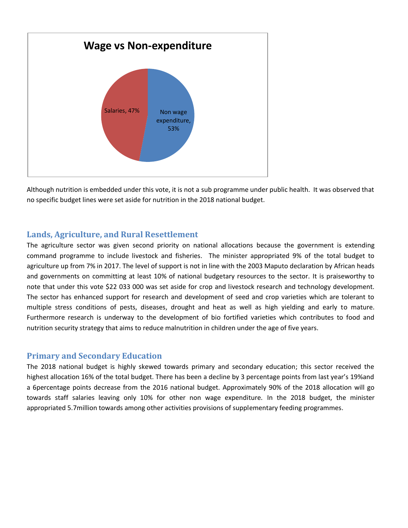

Although nutrition is embedded under this vote, it is not a sub programme under public health. It was observed that no specific budget lines were set aside for nutrition in the 2018 national budget.

#### **Lands, Agriculture, and Rural Resettlement**

The agriculture sector was given second priority on national allocations because the government is extending command programme to include livestock and fisheries. The minister appropriated 9% of the total budget to agriculture up from 7% in 2017. The level of support is not in line with the 2003 Maputo declaration by African heads and governments on committing at least 10% of national budgetary resources to the sector. It is praiseworthy to note that under this vote \$22 033 000 was set aside for crop and livestock research and technology development. The sector has enhanced support for research and development of seed and crop varieties which are tolerant to multiple stress conditions of pests, diseases, drought and heat as well as high yielding and early to mature. Furthermore research is underway to the development of bio fortified varieties which contributes to food and nutrition security strategy that aims to reduce malnutrition in children under the age of five years.

#### **Primary and Secondary Education**

The 2018 national budget is highly skewed towards primary and secondary education; this sector received the highest allocation 16% of the total budget. There has been a decline by 3 percentage points from last year's 19%and a 6percentage points decrease from the 2016 national budget. Approximately 90% of the 2018 allocation will go towards staff salaries leaving only 10% for other non wage expenditure. In the 2018 budget, the minister appropriated 5.7million towards among other activities provisions of supplementary feeding programmes.